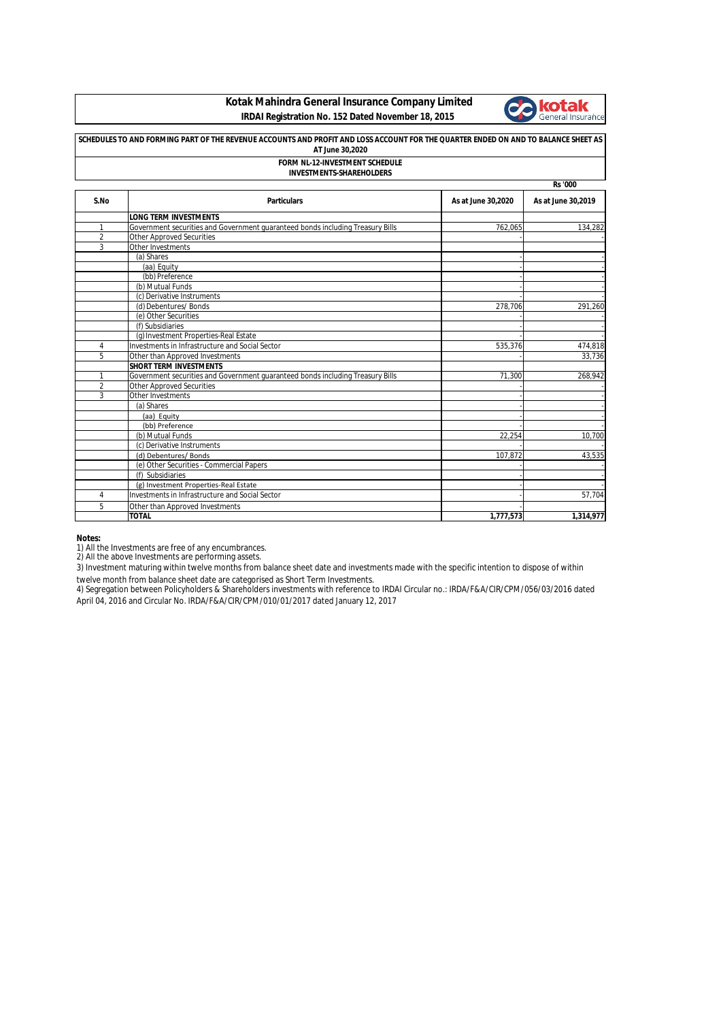## **Kotak Mahindra General Insurance Company Limited IRDAI Registration No. 152 Dated November 18, 2015**



| SCHEDULES TO AND FORMING PART OF THE REVENUE ACCOUNTS AND PROFIT AND LOSS ACCOUNT FOR THE QUARTER ENDED ON AND TO BALANCE SHEET AS<br>AT June 30,2020<br><b>FORM NL-12-INVESTMENT SCHEDULE</b><br><b>INVESTMENTS-SHAREHOLDERS</b> |                                                                                |                    |                    |  |
|-----------------------------------------------------------------------------------------------------------------------------------------------------------------------------------------------------------------------------------|--------------------------------------------------------------------------------|--------------------|--------------------|--|
|                                                                                                                                                                                                                                   |                                                                                |                    |                    |  |
| S.No                                                                                                                                                                                                                              | <b>Particulars</b>                                                             | As at June 30,2020 | As at June 30,2019 |  |
|                                                                                                                                                                                                                                   | <b>LONG TERM INVESTMENTS</b>                                                   |                    |                    |  |
| 1                                                                                                                                                                                                                                 | Government securities and Government quaranteed bonds including Treasury Bills | 762.065            | 134,282            |  |
| $\overline{2}$                                                                                                                                                                                                                    | <b>Other Approved Securities</b>                                               |                    |                    |  |
| 3                                                                                                                                                                                                                                 | Other Investments                                                              |                    |                    |  |
|                                                                                                                                                                                                                                   | (a) Shares                                                                     |                    |                    |  |
|                                                                                                                                                                                                                                   | (aa) Equity                                                                    |                    |                    |  |
|                                                                                                                                                                                                                                   | (bb) Preference                                                                |                    |                    |  |
|                                                                                                                                                                                                                                   | (b) Mutual Funds                                                               |                    |                    |  |
|                                                                                                                                                                                                                                   | (c) Derivative Instruments                                                     |                    |                    |  |
|                                                                                                                                                                                                                                   | (d) Debentures/ Bonds                                                          | 278,706            | 291,260            |  |
|                                                                                                                                                                                                                                   | (e) Other Securities                                                           |                    |                    |  |
|                                                                                                                                                                                                                                   | (f) Subsidiaries                                                               |                    |                    |  |
|                                                                                                                                                                                                                                   | (g) Investment Properties-Real Estate                                          |                    |                    |  |
| 4                                                                                                                                                                                                                                 | Investments in Infrastructure and Social Sector                                | 535,376            | 474,818            |  |
| 5                                                                                                                                                                                                                                 | Other than Approved Investments                                                |                    | 33,736             |  |
|                                                                                                                                                                                                                                   | <b>SHORT TERM INVESTMENTS</b>                                                  |                    |                    |  |
| 1                                                                                                                                                                                                                                 | Government securities and Government quaranteed bonds including Treasury Bills | 71.300             | 268,942            |  |
| $\overline{2}$                                                                                                                                                                                                                    | <b>Other Approved Securities</b>                                               |                    |                    |  |
| 3                                                                                                                                                                                                                                 | Other Investments                                                              |                    |                    |  |
|                                                                                                                                                                                                                                   | (a) Shares                                                                     |                    |                    |  |
|                                                                                                                                                                                                                                   | (aa) Equity                                                                    |                    |                    |  |
|                                                                                                                                                                                                                                   | (bb) Preference                                                                |                    |                    |  |
|                                                                                                                                                                                                                                   | (b) Mutual Funds                                                               | 22.254             | 10,700             |  |
|                                                                                                                                                                                                                                   | (c) Derivative Instruments                                                     |                    |                    |  |
|                                                                                                                                                                                                                                   | (d) Debentures/Bonds                                                           | 107,872            | 43,535             |  |
|                                                                                                                                                                                                                                   | (e) Other Securities - Commercial Papers                                       |                    |                    |  |
|                                                                                                                                                                                                                                   | (f) Subsidiaries                                                               |                    |                    |  |
|                                                                                                                                                                                                                                   | (g) Investment Properties-Real Estate                                          |                    |                    |  |
| 4                                                                                                                                                                                                                                 | Investments in Infrastructure and Social Sector                                |                    | 57.704             |  |
| 5                                                                                                                                                                                                                                 | Other than Approved Investments                                                |                    |                    |  |
|                                                                                                                                                                                                                                   | <b>TOTAL</b>                                                                   | 1,777,573          | 1,314,977          |  |

**Notes:**

1) All the Investments are free of any encumbrances.<br>2) All the above Investments are performing assets.

3) Investment maturing within twelve months from balance sheet date and investments made with the specific intention to dispose of within twelve month from balance sheet date are categorised as Short Term Investments.

4) Segregation between Policyholders & Shareholders investments with reference to IRDAI Circular no.: IRDA/F&A/CIR/CPM/056/03/2016 dated April 04, 2016 and Circular No. IRDA/F&A/CIR/CPM/010/01/2017 dated January 12, 2017